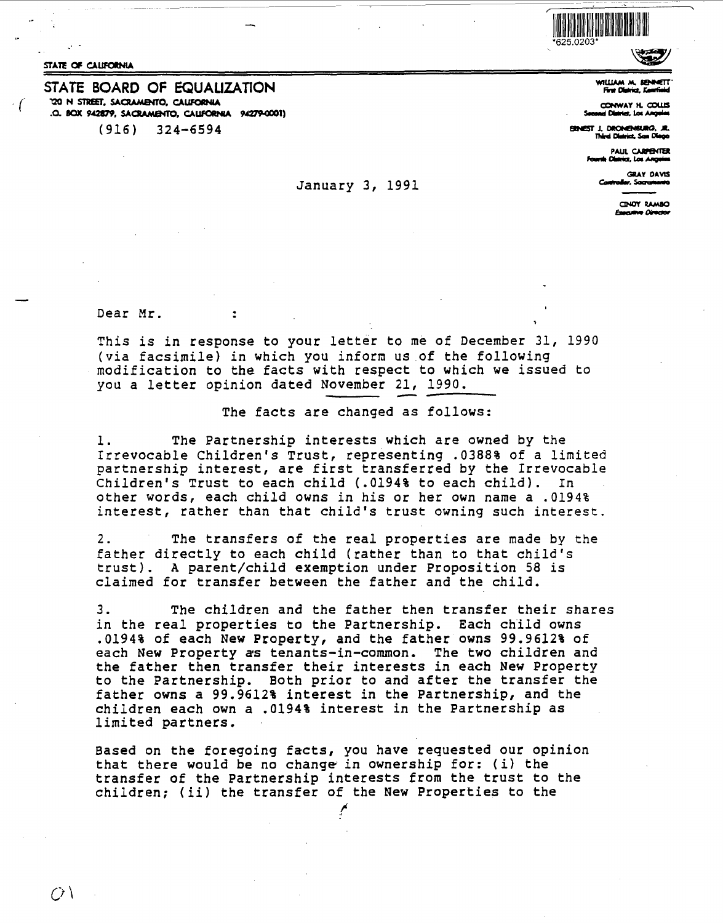STATE OF CAUFORNIA

STATE **BOARD** OF EQUAUZATION **120 N STREET, SAotAM&n'O, CAUFOINIA .0. BOX 942879, SACRAMENTO, CAUFORNIA 94279-0001)**<br>(916) 324-6594  $324 - 6594$ 



**WIWAM M. SENETT" FnDlllrid.J:-fioid** 

**ct:IHWAY H. C0WS S--a.tct.Lao~** 

**ERNEST J. DRONENSURG, JR.**<br>Third District, San Diego

**PAUL CARPENTER** rth **Clairict**, Las Angeles

GRAY DAVIS<br>**w.** Socrationed

CINDY RAMBO **Executive Director** 

Dear Mr.

 $\ddot{\cdot}$ 

This is in response to your letter to me of December 31, 1990 (via facsimile) in which you inform us of the following modification to the facts with respect to which we issued to you a letter opinion dated November 21, 1990.

### The facts are changed as follows:

**c-.-.s--** January 3, 1991

l. The Partnership interests which are owned by the Irrevocable Children's Trust, representing .0388% of a limited partnership interest, are first transferred by the Irrevocable Children's Trust to each child (.0194% to each child). other words, each child owns in his or her own name a .0194% interest, rather than that child's trust owning such interest.

2. The transfers of the real properties are made by the father directly to each child (rather than to that child's trust). A parent/child exemption under Proposition 58 is claimed for transfer between the father and the child.

3. The children and the father then transfer their shares in the real properties to the Partnership. Each child owns .0194% of each New Property, and the father owns 99.9612% of each New Property as tenants-in-common. The two children and the father then transfer their interests in each New Property to the Partnership. Both prior to and after the transfer the father owns a 99.9612% interest in the Partnership, and the children each own a .0194% interest in the Partnership as limited partners.

Based on the foregoing facts, you have requested our opinion that there would be no change in ownership for: (i) the transfer of the Partnership interests from the trust to the children; (ii) the transfer of the New Properties *to* the

/

 $\Omega \setminus$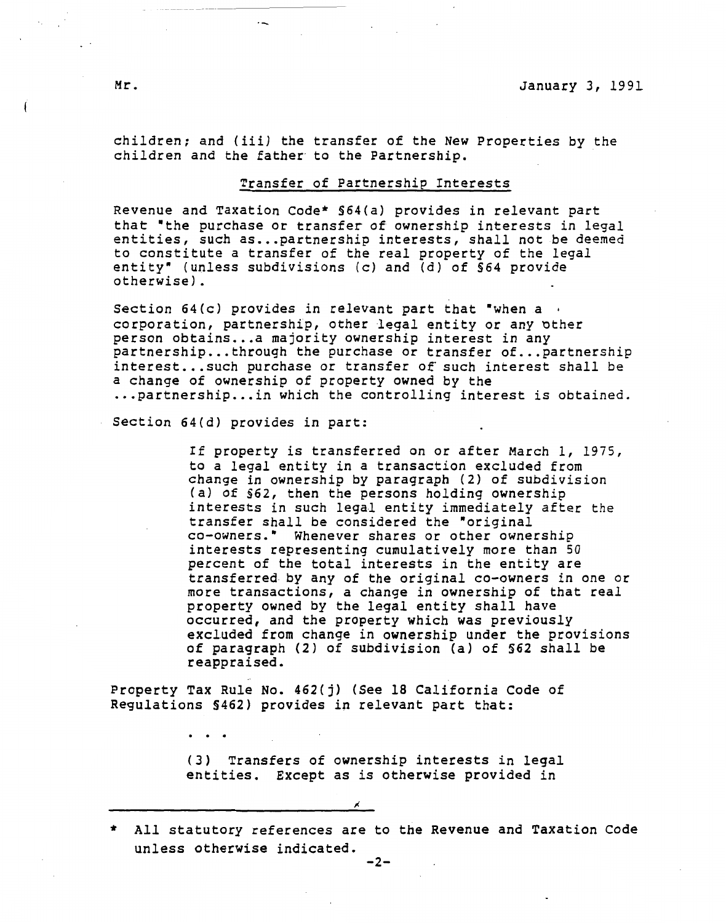children; and (iii) the transfer of the New Properties by the children and the father to the Partnership.

### Transfer of Partnership Interests

Revenue and Taxation Code\* §64(a) provides in relevant part that "the purchase or transfer of ownership interests in legal entities, such as... partnership interests, shall not be deemed to constitute a transfer of the real property of the legal entity• (unless subdivisions (c) and {d) of *§64* provide otherwise).

Section  $64(c)$  provides in relevant part that "when a  $\cdot$ corporation, partnership, other legal entity or any other person obtains...a majority ownership interest in any partnership... through the purchase or transfer of... partnership interest... such purchase or transfer of such interest shall be a change of ownership of property owned by the ... partnership... in which the controlling interest is obtained.

Section 64(d) provides in part:

 $\ddotsc$ 

If property is transferred on or after March 1, 1975, to a legal entity in a transaction excluded from change in ownership by paragraph (2) of subdivision (a) of §62, then the persons holding ownership interests in such legal entity immediately after the transfer shall be considered the "original co-owners.• Whenever shares or other ownership interests representing cumulatively more than 50 percent of the total interests in the entity are transferred by any of the original co-owners in one or more transactions, a change in ownership of that real property owned by the legal entity shall have occurred, and the property which was previously excluded from change in ownership under the provisions of paragraph (2) of subdivision (a) of §62 shall be **reappraised.** 

Property Tax Rule No. 462(j) (See 18 California Code of Regulations §462) provides in relevant part that:

> (3) Transfers of ownership interests in legal entities. Except as is otherwise provided in

<sup>\*</sup> All statutory references are to the Revenue and Taxation Code unless otherwise indicated.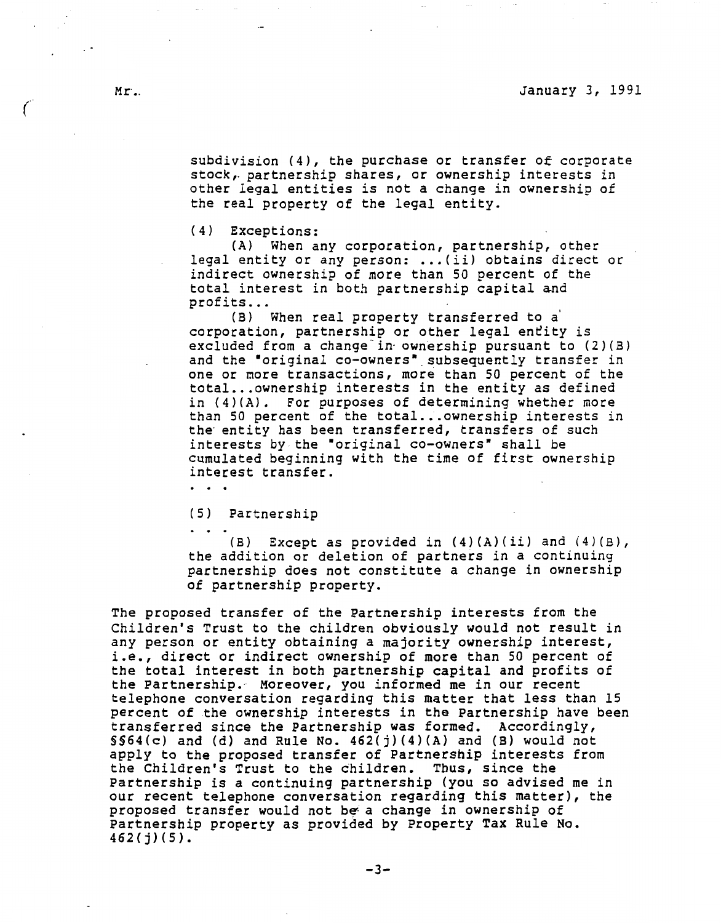subdivision (4), the purchase or transfer of corporate stock,. partnership shares, or ownership interests in other legal entities is not a change in ownership of the real property of the legal entity.

(4) Exceptions:

(A) When any corporation, partnership, other legal entity or any person: *..• (ii)* obtains direct or indirect ownership of more than SO percent of the total interest in both partnership capital and profits...

(B) When real property transferred to a' corporation, partnership or other legal entity is excluded from a change in ownership pursuant to  $(2)(B)$ and the "original co-owners" subsequently transfer in one or more transactions, more than 50 percent of the total... ownership interests in the entity as defined in (4)(A). For purposes of determining whether more than 50 percent of the total... ownership interests in the entity has been transferred, transfers of such interests by the "original co-owners" shall be cumulated beginning with the time of first ownership interest transfer.

 $\cdot$   $\cdot$   $\cdot$ 

(5) Partnership

(B) Except as provided *in* **(4)(A)(ii)** and (4)(B), the addition or deletion of partners in a continuing partnership does not constitute a change in ownership of partnership property.

The proposed transfer of the Partnership interests from the Children's Trust *to* the children obviously would *not* result in any person or entity obtaining a majority ownership interest, i.e., direct or indirect ownership of more than 50 percent of the total interest in both partnership capital and profits of the Partnership. Moreover, you informed me in our recent telephone conversation regarding this matter that less than 15 percent of the ownership interests in the Partnership have been transferred since the Partnership was formed. Accordingly, SS64(c) and (d) and Rule No. 462(j)(4)(A) and (B) would *not*  apply to the proposed transfer of Partnership interests from the Children's Trust to the children. Thus, since the Partnership is a continuing partnership (you so advised me in our recent telephone conversation regarding this matter), the proposed transfer would not be: a change in ownership of Partnership property as provided by Property Tax Rule No.  $462(j)(5)$ .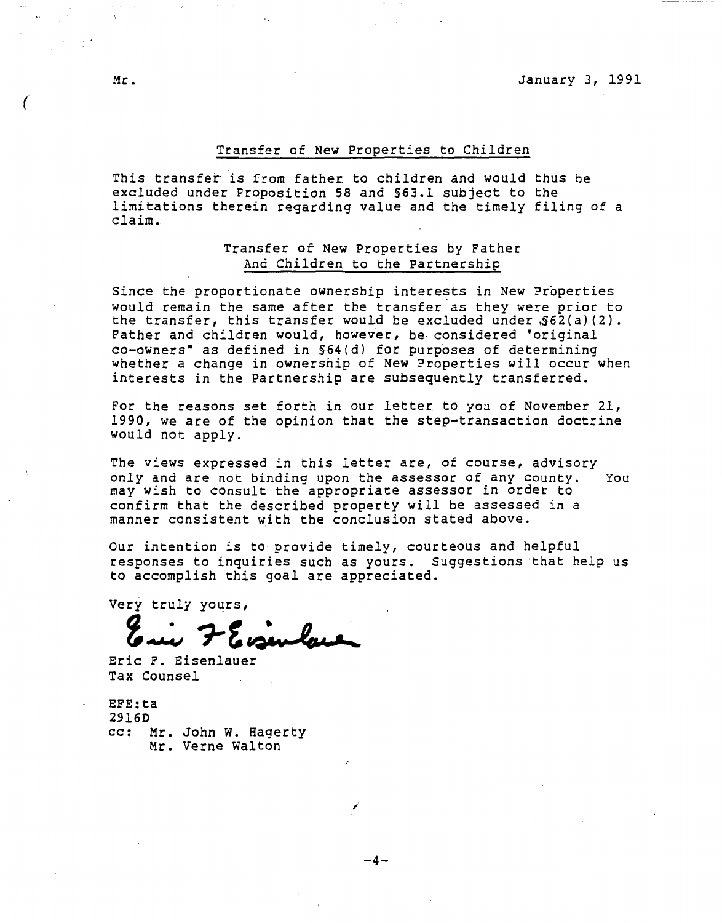## Transfer of New Properties to Children

This transfet is from fathec to children and would thus be excluded under Proposition 58 and §63.1 subject to the limitations therein regarding value and the timely filing of a claim.

# Transfer of New Properties by Father And Children to the Partnership

Since the proportionate ownership interests in New Properties would remain the same after the transfer as they were prior to the transfer, this transfer would be excluded under  $$62(a)(2)$ . Father and children would, however, be considered "original co-owners• as defined in §64(d) for purposes of determining whether a change in ownership of New Properties will occur when interests in the Partnership are subsequently transferred.

For the reasons set forth in our letter to you of November 21, 1990, we are of the opinion that the step-transaction doctrine would not apply.

The views expressed in this letter are, of course, advisory only and are not binding upon the assessor of any county. You may wish to consult the appropriate assessor in order to confirm that the described property will be assessed in a manner consistent with the conclusion stated above.

Our intention is to provide timely, courteous and helpful responses to inquiries such as yours. Suggestions ·that help us to accomplish this goal are appreciated.

Very truly yours, **Z**~ *1-*<sup>~</sup>**~i-~vii.\_4'Gillll,\_\_.,\_\_JC. \_\_**

Eric F. Eisenlauer Tax Counsel

**EFE:ta**  2916D cc: Mr. John w. Hagerty Mr. Verne Walton

-4-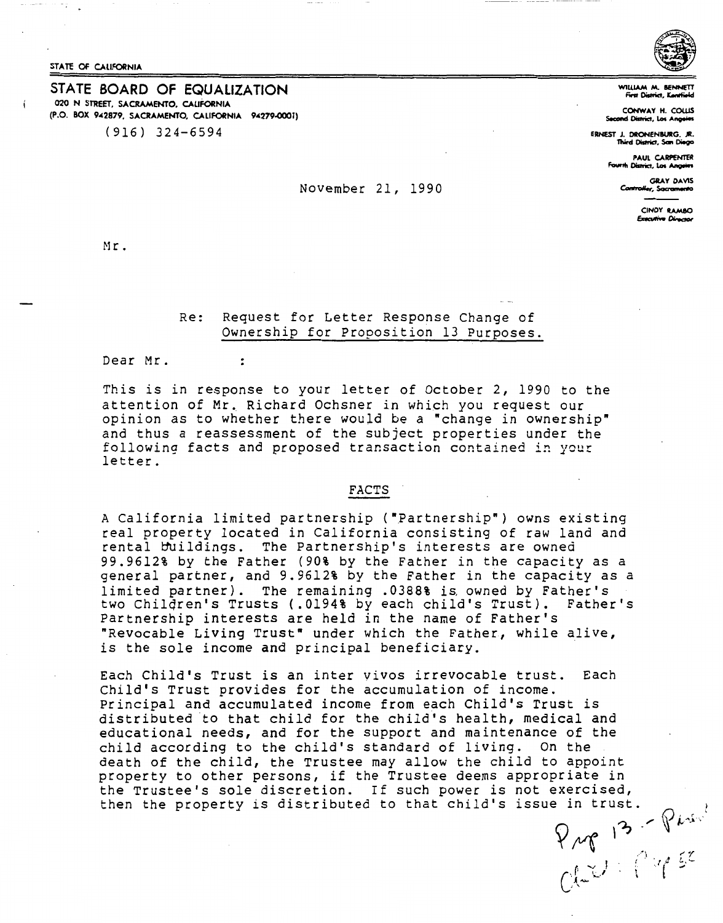STATE OF CALIFORNIA

### STATE BOARD OF EQUALIZATION 020 N STREET, **SACRAMENTO, CALIFORNIA**  (P.O. BOX 942879, SACRAMENTO, CALIFORNIA 94279-0001) (916) 324-6594



WILLIAM M. B **First District, <sup>in</sup>-**

**COHWAY H. COWS** sond D<del>istrict</del>, Los Angeles

**ERNEST J. DRONENIURG. JR. Third Oislrict, s- DieOO** 

**rl** \_.,

*""r* •· .1 • I .4 l, .\_ r .... I l , *•,;\_.I* <sup>C</sup>*A-* , '

-.'

**PAUL CARPENTER Trict, Los Angeles** 

> **GRAY DAVIS** Controller, Sacramento

> > **CINDY RAMBO**<br>Executive Director

Mr.

## Re: Request for Letter Response Change of Ownership for Proposition 13 Purposes.

November 21, 1990

Dear Mr.

 $\ddot{\cdot}$ 

This is in response to your letter of October 2, 1990 to the attention of Mr. Richard Ochsner in which you request our opinion as to whether there would be a "change in ownership" and thus a reassessment of the subject properties under the following facts and proposed transaction contained in your letter.

#### **FACTS**

A California limited partnership ("Partnership") owns existing real property located in California consisting of raw land and rental buildings. The Partnership's interests are owned 99.9612% by the Father (90% by the Father in the capacity as a general partner, and 9.9612% by the Father in the capacity as a limited partner). The remaining .0388% is owned by Father's two Chilqren's Trusts (.0194% by each child's Trust}. Father's Partnership interests are held in the name of Father's "Revocable Living Trust" under which the Father, while alive, is the sole income and principal beneficiary.

Each Child's Trust is an inter vivos irrevocable trust. Each Child's Trust provides for the accumulation of income. Principal and accumulated income from each Child's Trust is distributed to that child for the child's health, medical and educational needs, and for the support and maintenance of the child according to the child's standard of living. On the death of the child, the Trustee may allow the child to appoint property to other persons, if the Trustee deems appropriate in the Trustee's sole discretion. If such power is not exercised, then the property is distributed to that child's issue in trust.  $\int_{0}^{1} (3 - \sqrt{6})^{3} dx$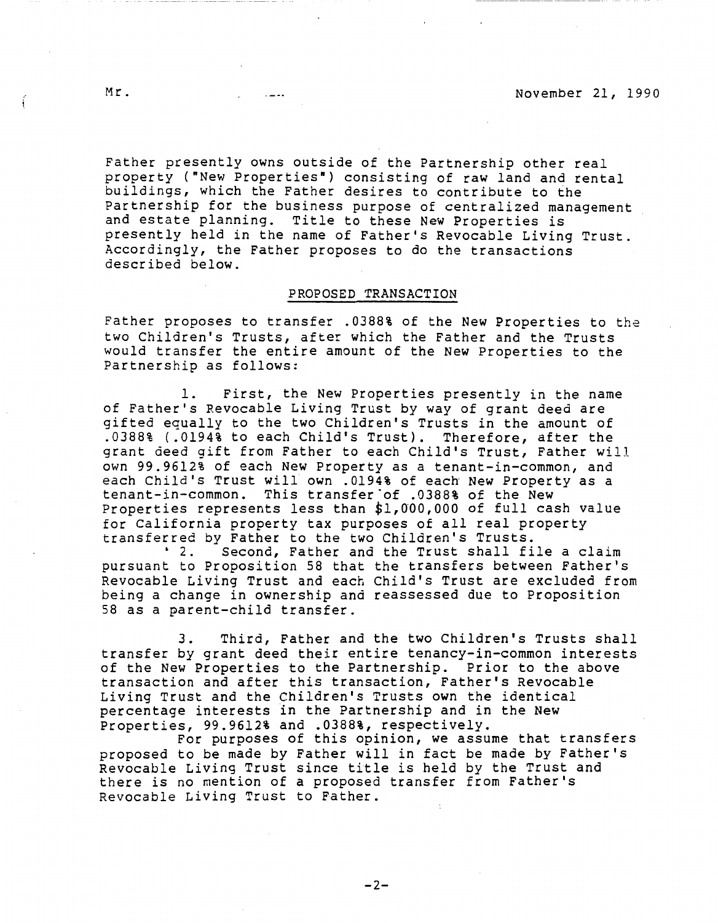Father presently owns outside of the Partnership other real property ("New Properties•) consisting of raw land and rental buildings, which the Father desires to contribute to the Partnership for the business purpose of centralized management and estate planning. Title to these New Properties is presently held in the name of Father's Revocable Living Trust. Accordingly, the Father proposes to do the transactions described below.

### **PROPOSED TRANSACTION**

Father proposes to transfer .0388% of the New Properties to the two Children's Trusts, after which the Father and the Trusts would transfer the entire amount of the New Properties to the Partnership as follows:

1. First, the New Properties presently in the name of Father's Revocable Living Trust by way of grant deed are gifted equally to the two Children's Trusts in the amount of .0388% ( .0194% to each Child's Trust). Therefore, after the grant deed gift from Father to each Child's Trust, Father will own 99.9612% of each New Property as a tenant-in-common, and each Child's Trust will own .0194% of each New Property as a tenant-in-common. This transfer·of .0388% of the New Properties represents less than \$1,000,000 of full cash value for California property tax purposes of all real property

transferred by Father to the two Children's Trusts.<br>2. Second, Father and the Trust shall fi Second, Father and the Trust shall file a claim pursuant to Proposition 58 that the transfers between Father's Revocable Living Trust and each Child's Trust are excluded from being a change in ownership and reassessed due to Proposition 58 as a parent-child transfer.

3. Third, Father and the two Children's Trusts shall transfer by grant deed their entire tenancy-in-common interests of the New Properties to the Partnership. Prior to the above transaction and after this transaction, Father's Revocable Living Trust and the Children's Trusts own the identical percentage interests in the Partnership and in the New

Properties and this opinion, we assume that transfers proposed to be made by Father will in fact be made by Father's Revocable Living Trust since title is held by the Trust and there is no mention of a proposed transfer from Father's Revocable Living Trust to Father.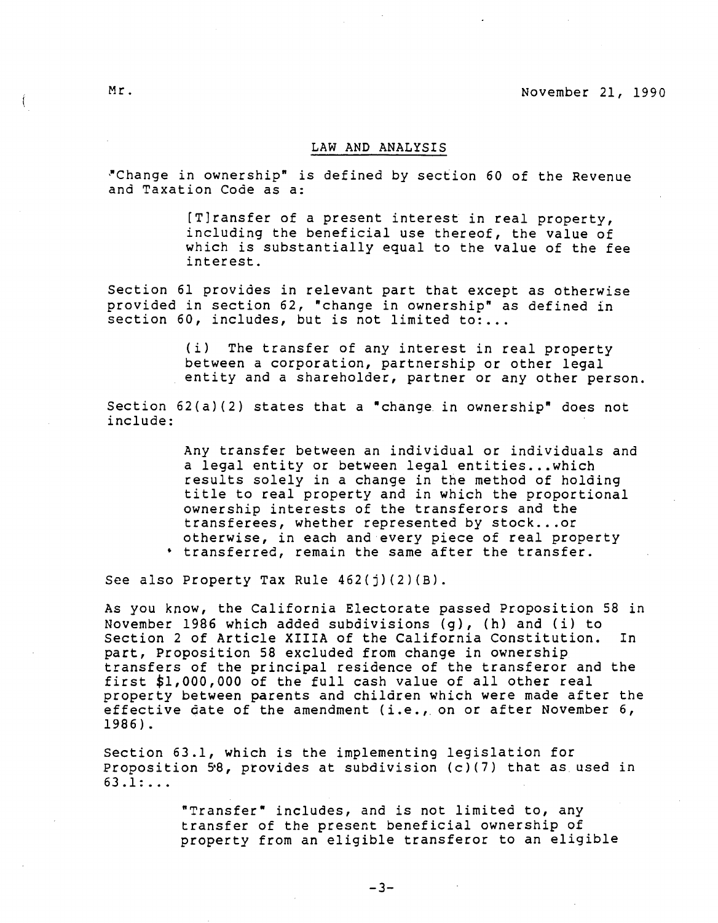### **LAW AND ANALYSIS**

~Change in ownership" is defined by seciion 60 of the Revenue and Taxation Code as a:

> [T]ransfer of a present interest in real property, including the beneficial use thereof, the value of which is substantially equal to the value of the fee interest.

Section 61 provides in relevant part that except as otherwise provided in section 62, "change in ownership" as defined in section 60, includes, but is not limited to:...

> (i) The transfer of any interest in real property between a corporation, partnership or other legal entity and a shareholder, partner or any other person.

Section 62(a)(2) states that a "change in ownership" does not include:

> Any transfer between an individual or individuals and a legal entity or between legal entities...which results solely in a change in the method of holding title to real property and in which the proportional ownership interests of the transferors and the transferees, whether represented by stock ... or otherwise, in each and every piece of real property • transferred, remain the same after the transfer.

See also Property Tax Rule 462(j)(2)(B).

As you know, the California Electorate passed Proposition 58 in November 1986 which added subdivisions (g}, (h} and (i} to Section 2 of Article **XIIIA** of the California Constitution. In part, Proposition 58 excluded from change in ownership transfers of the principal residence of the transferor and the first \$1,000,000 of the full cash value of all other real property between parents and children which were made after the effective date of the amendment (i.e., on or after November 6, 1986).

Section 63.1, which is the implementing legislation for Proposition  $58$ , provides at subdivision (c)(7) that as used in 63 .1: ...

> "Transfer" includes, and is not limited to, any transfer of the present beneficial ownership of property from an eligible transferor to an eligible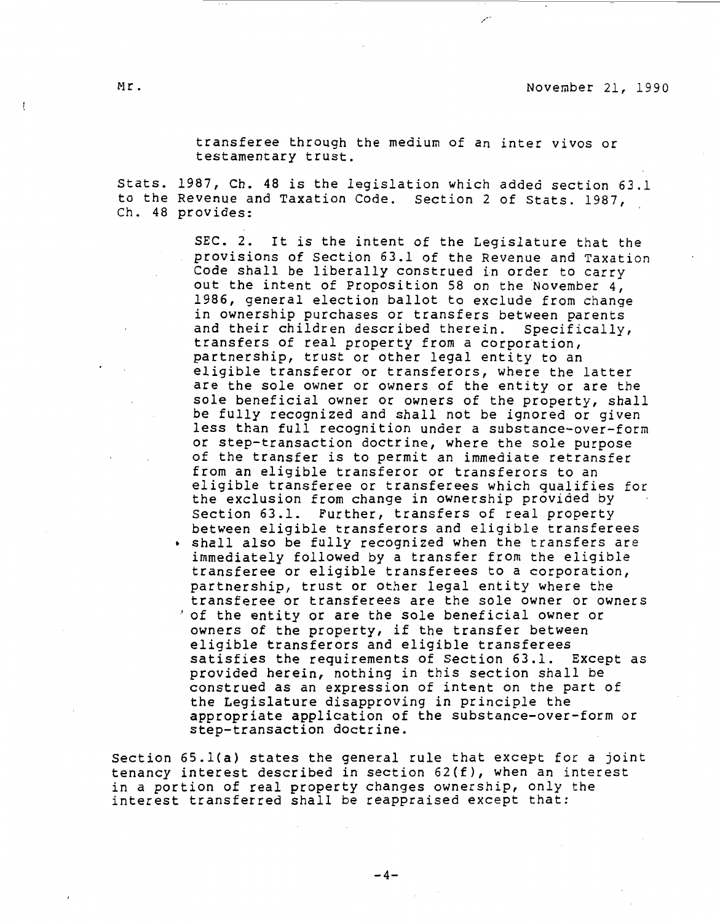transferee through the medium of an inter vivos or testamentary trust.

Stats. 1987, Ch. 48 is the legislation which added section 63.l to the Revenue and Taxation Code. Section 2 of Stats. 1987, Ch. 48 provides:

> SEC. 2. It is the intent of the Legislature that the provisions of Section 63.l of the Revenue and Taxation Code shall be liberally construed in order to carry out the intent of Proposition 58 on the November 4, 1986, general election ballot to exclude from change in ownership purchases or transfers between parents and their children described therein. Specifically, transfers of real property from a corporation, partnership, trust or other legal entity to an eligible transferor or transferors, where the latter are the sole owner or owners of the entity or are the sole beneficial owner or owners of the property, shall be fully recognized and shall not be ignored or given less than full recognition under a substance-over-form or step-transaction doctrine, where the sole purpose of the transfer is to permit an immediate retransfer from an eligible transferor or transferors to an eligible transferee or transferees which qualifies for the exclusion from change in ownership provided by Section 63.1. Further, transfers of real property between eligible transferors and eligible transferees • shall also be fully recognized when the transfers are immediately followed by a transfer from the eligible transferee or eligible transferees to a corporation, partnership, trust or other legal entity where the transferee or transferees are the sole owner or owners 'of the entity or are the sole beneficial owner or owners of the property, if the transfer between eligible transferors and eligible transferees satisfies the requirements of Section 63.1. Except as provided herein, nothing in this section shall be construed as an expression of intent on the part of the Legislature disapproving in principle the appropriate application of the substance-over-form or step-transaction doctrine.

Section 65.l(a) states the general rule that except for a joint tenancy interest described in section 62(f), when an interest in a portion of real property changes ownership, only the interest transferred shall be reappraised except that: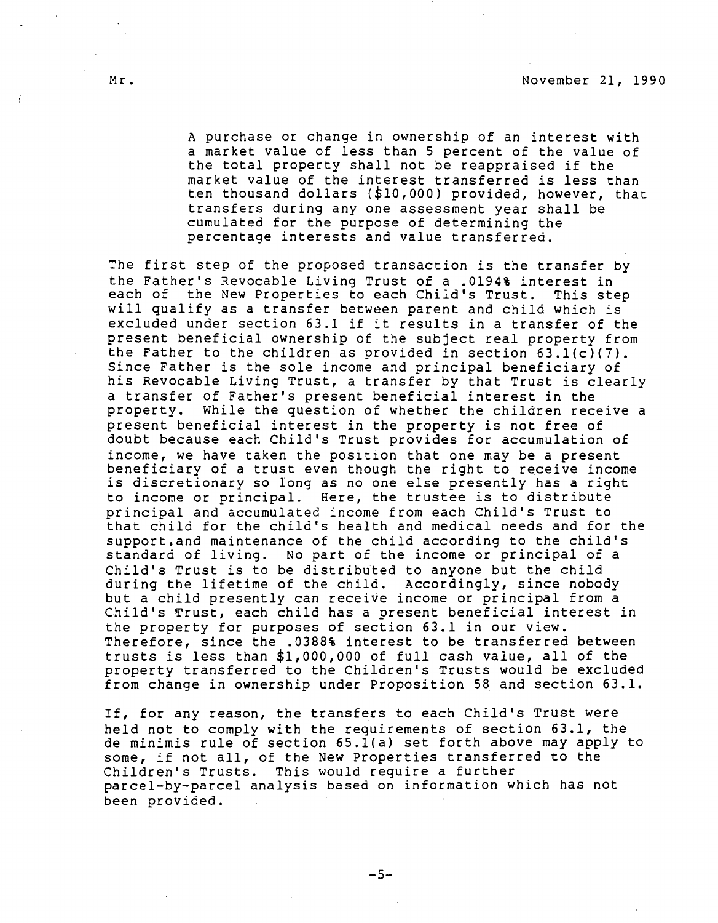A purchase or change in ownership of an interest with a market value of less than 5 percent of the value of the total property shall not be reappraised if the market value of the interest transferred is less than ten thousand dollars (\$10,000) provided, however, that transfers during any one assessment year shall be cumulated for the purpose of determining the percentage interests and value transferred.

The first step of the proposed transaction is the transfer by the Father's Revocable Living Trust of a .0194% interest in each of the New Properties to each Chiid's Trust. This step will qualify as a transfer between parent and child which is excluded under section 63.1 if it results in a transfer of the present beneficial ownership of the subject real property from the Father to the children as provided in section  $63.1(c)(7)$ . Since Father is the sole income and principal beneficiary of his Revocable Living Trust, a transfer by that Trust is clearly a transfer of Father's present beneficial interest in the property. While the question of whether the children receive a present beneficial interest in the property is not free of doubt because each Child's Trust provides for accumulation of income, we have taken the position that one may be a present beneficiary of a trust even though the right to receive income is discretionary so long as no one else presently has a right to income or principal. Here, the trustee is to distribute principal and accumulated income from each Child's Trust to that child for the child's health and medical needs and for the support.and maintenance of the child according to the child's standard of living. No part of the income or principal of a Child's Trust is to be distributed to anyone but the child during the lifetime of the child. Accordingly, since nobody but a child presently can receive income or principal from a Child's Trust, each child has a present beneficial interest in the property for purposes of section 63.1 in our view. Therefore, since the .0388% interest to be transferred between trusts is less than \$1,000,000 of full cash value, all of the property transferred to the Children's Trusts would be excluded from change in ownership under Proposition 58 and section 63.1.

If, for any reason, the transfers to each Child's Trust were held not to comply with the requirements of section 63.1, the de minimis rule of section 65.l(a) set forth above may apply to some, if not all, of the New Properties transferred to the Children's Trusts. This would require a further parcel-by-parcel analysis based on information which has not been provided.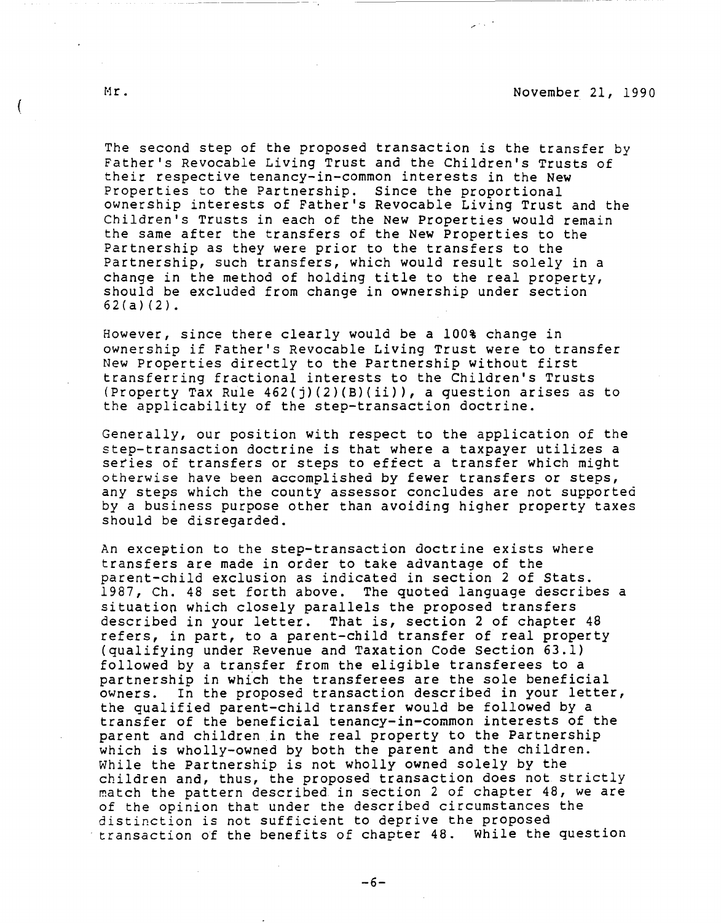The second step of the proposed transaction is the transfer by Father's Revocable Living Trust and the Children's Trusts of their respective tenancy-in-common interests in the New Properties to the Partnership. Since the proportional ownership interests of Father's Revocable Living Trust and the Children's Trusts in each of the New Properties would remain the same after the transfers of the New Properties to the Partnership as they were prior to the transfers to the Partnership, such transfers, which would result solely in a change in the method of holding title to the real property, should be excluded from change in ownership under section 62(a)(2).

However, since there clearly would be a 100% change in ownership if Father's Revocable Living Trust were to transfer New Properties directly to the Partnership without first transferring fractional interests to the Children's Trusts (Property Tax Rule 462(j)(2)(B)(ii)), a question arises as to the applicability of the step-transaction doctrine.

Generally, our position with respect to the application of the step-transaction doctrine is that where a taxpayer utilizes a series of transfers or steps to effect a transfer which might otherwise have been accomplished by fewer transfers or steps, any steps which the county assessor concludes are not supported by a business purpose other than avoiding higher property taxes should be disregarded.

An exception to the step-transaction doctrine exists where transfers are made in order to take advantage of the parent-child exclusion as indicated in section 2 of Stats. 1987, Ch. 48 set forth above. The quoted language describes a situation which closely parallels the proposed transfers described in your letter. That is, section 2 of chapter 48 refers, in part, to a parent-child transfer of real property (qualifying under Revenue and Taxation Code Section 63.1) followed by a transfer from the eligible transferees to a partnership in which the transferees are the sole beneficial owners. In the proposed transaction described in your letter, the qualified parent-child transfer would be followed by a transfer of the beneficial tenancy-in-common interests of the parent and children in the real property to the Partnership which is wholly-owned by both the parent and the children. While the Partnership is not wholly owned solely by the children and, thus, the proposed transaction does not strictly match the pattern described in section 2 of chapter 48, we are of the opinion that under the described circumstances the distinction is not sufficient to deprive the proposed transaction of the benefits of chapter 48. While the question

-----------